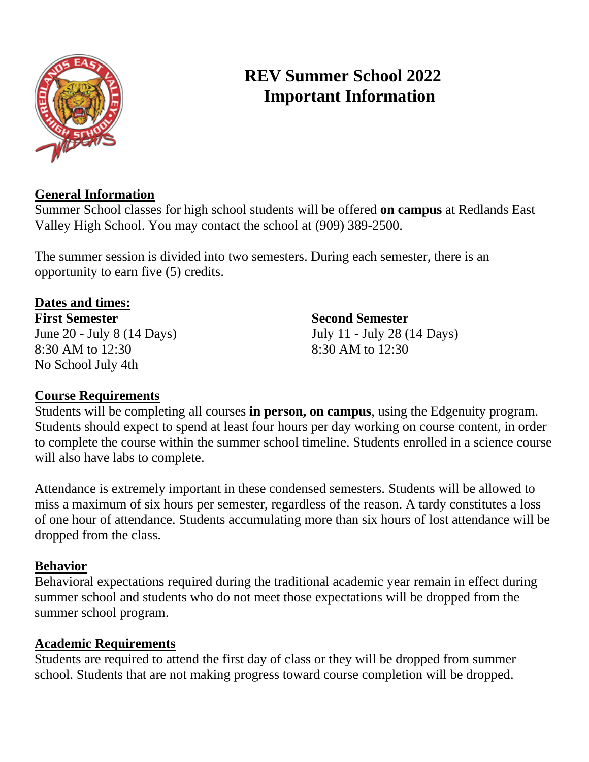

# **REV Summer School 2022 Important Information**

# **General Information**

Summer School classes for high school students will be offered **on campus** at Redlands East Valley High School. You may contact the school at (909) 389-2500.

The summer session is divided into two semesters. During each semester, there is an opportunity to earn five (5) credits.

**Dates and times: First Semester Second Semester** 8:30 AM to 12:30 8:30 AM to 12:30 No School July 4th

June 20 - July 8 (14 Days) July 11 - July 28 (14 Days)

# **Course Requirements**

Students will be completing all courses **in person, on campus**, using the Edgenuity program. Students should expect to spend at least four hours per day working on course content, in order to complete the course within the summer school timeline. Students enrolled in a science course will also have labs to complete.

Attendance is extremely important in these condensed semesters. Students will be allowed to miss a maximum of six hours per semester, regardless of the reason. A tardy constitutes a loss of one hour of attendance. Students accumulating more than six hours of lost attendance will be dropped from the class.

### **Behavior**

Behavioral expectations required during the traditional academic year remain in effect during summer school and students who do not meet those expectations will be dropped from the summer school program.

### **Academic Requirements**

Students are required to attend the first day of class or they will be dropped from summer school. Students that are not making progress toward course completion will be dropped.